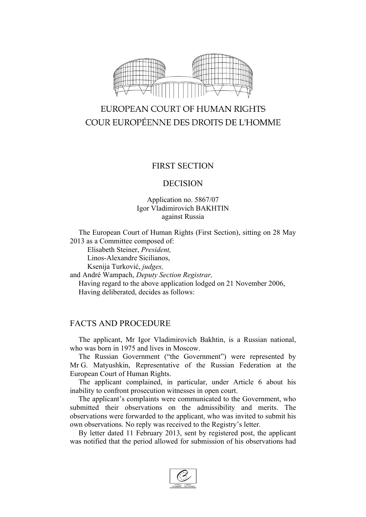

# EUROPEAN COURT OF HUMAN RIGHTS COUR EUROPÉENNE DES DROITS DE L'HOMME

### FIRST SECTION

#### DECISION

#### Application no. 5867/07 Igor Vladimirovich BAKHTIN against Russia

The European Court of Human Rights (First Section), sitting on 28 May 2013 as a Committee composed of:

Elisabeth Steiner, *President,*

Linos-Alexandre Sicilianos,

Ksenija Turković, *judges,*

and André Wampach, *Deputy Section Registrar,* Having regard to the above application lodged on 21 November 2006, Having deliberated, decides as follows:

## FACTS AND PROCEDURE

The applicant, Mr Igor Vladimirovich Bakhtin, is a Russian national, who was born in 1975 and lives in Moscow.

The Russian Government ("the Government") were represented by Mr G. Matyushkin, Representative of the Russian Federation at the European Court of Human Rights.

The applicant complained, in particular, under Article 6 about his inability to confront prosecution witnesses in open court.

The applicant's complaints were communicated to the Government, who submitted their observations on the admissibility and merits. The observations were forwarded to the applicant, who was invited to submit his own observations. No reply was received to the Registry's letter.

By letter dated 11 February 2013, sent by registered post, the applicant was notified that the period allowed for submission of his observations had